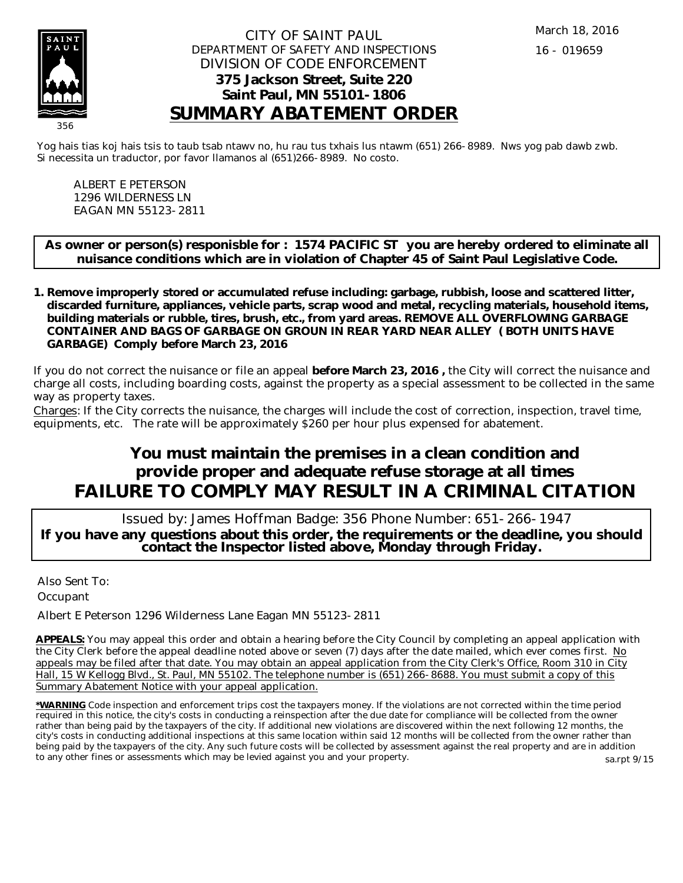

#### CITY OF SAINT PAUL DEPARTMENT OF SAFETY AND INSPECTIONS DIVISION OF CODE ENFORCEMENT **375 Jackson Street, Suite 220 Saint Paul, MN 55101-1806 SUMMARY ABATEMENT ORDER**

Yog hais tias koj hais tsis to taub tsab ntawv no, hu rau tus txhais lus ntawm (651) 266-8989. Nws yog pab dawb zwb. Si necessita un traductor, por favor llamanos al (651)266-8989. No costo.

ALBERT E PETERSON 1296 WILDERNESS LN EAGAN MN 55123-2811

**As owner or person(s) responisble for : 1574 PACIFIC ST you are hereby ordered to eliminate all nuisance conditions which are in violation of Chapter 45 of Saint Paul Legislative Code.**

**Remove improperly stored or accumulated refuse including: garbage, rubbish, loose and scattered litter, 1. discarded furniture, appliances, vehicle parts, scrap wood and metal, recycling materials, household items, building materials or rubble, tires, brush, etc., from yard areas. REMOVE ALL OVERFLOWING GARBAGE CONTAINER AND BAGS OF GARBAGE ON GROUN IN REAR YARD NEAR ALLEY ( BOTH UNITS HAVE GARBAGE) Comply before March 23, 2016**

If you do not correct the nuisance or file an appeal **before March 23, 2016 ,** the City will correct the nuisance and charge all costs, including boarding costs, against the property as a special assessment to be collected in the same way as property taxes.

Charges: If the City corrects the nuisance, the charges will include the cost of correction, inspection, travel time, equipments, etc. The rate will be approximately \$260 per hour plus expensed for abatement.

# **You must maintain the premises in a clean condition and provide proper and adequate refuse storage at all times FAILURE TO COMPLY MAY RESULT IN A CRIMINAL CITATION**

 Issued by: James Hoffman Badge: 356 Phone Number: 651-266-1947 **If you have any questions about this order, the requirements or the deadline, you should contact the Inspector listed above, Monday through Friday.**

Also Sent To: **Occupant** 

Albert E Peterson 1296 Wilderness Lane Eagan MN 55123-2811

**APPEALS:** You may appeal this order and obtain a hearing before the City Council by completing an appeal application with the City Clerk before the appeal deadline noted above or seven (7) days after the date mailed, which ever comes first. No appeals may be filed after that date. You may obtain an appeal application from the City Clerk's Office, Room 310 in City Hall, 15 W Kellogg Blvd., St. Paul, MN 55102. The telephone number is (651) 266-8688. You must submit a copy of this Summary Abatement Notice with your appeal application.

**\*WARNING** Code inspection and enforcement trips cost the taxpayers money. If the violations are not corrected within the time period required in this notice, the city's costs in conducting a reinspection after the due date for compliance will be collected from the owner rather than being paid by the taxpayers of the city. If additional new violations are discovered within the next following 12 months, the city's costs in conducting additional inspections at this same location within said 12 months will be collected from the owner rather than being paid by the taxpayers of the city. Any such future costs will be collected by assessment against the real property and are in addition to any other fines or assessments which may be levied against you and your property. sa.rpt 9/15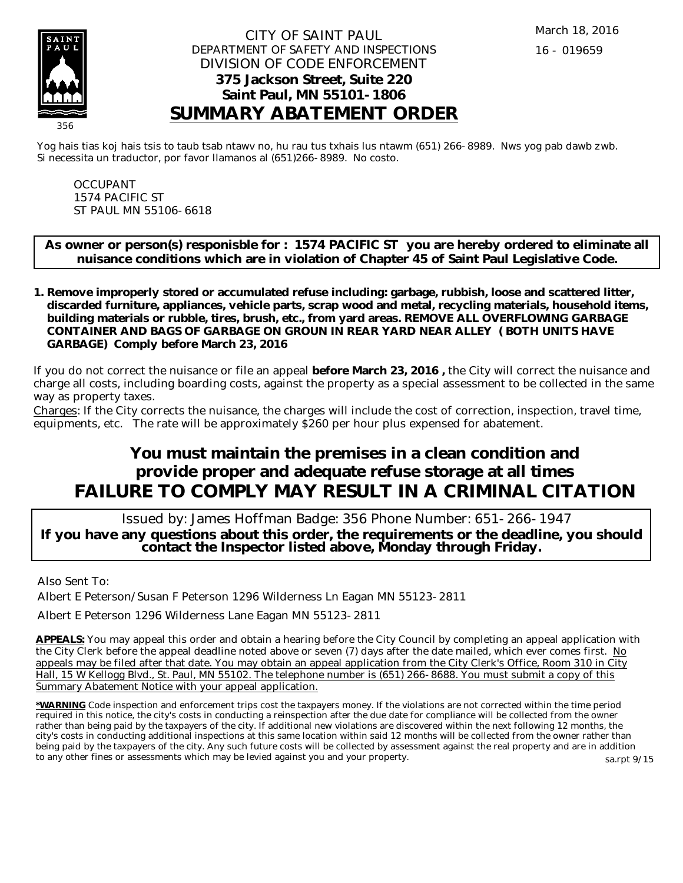

#### CITY OF SAINT PAUL DEPARTMENT OF SAFETY AND INSPECTIONS DIVISION OF CODE ENFORCEMENT **375 Jackson Street, Suite 220 Saint Paul, MN 55101-1806 SUMMARY ABATEMENT ORDER**

Yog hais tias koj hais tsis to taub tsab ntawv no, hu rau tus txhais lus ntawm (651) 266-8989. Nws yog pab dawb zwb. Si necessita un traductor, por favor llamanos al (651)266-8989. No costo.

OCCUPANT 1574 PACIFIC ST ST PAUL MN 55106-6618

**As owner or person(s) responisble for : 1574 PACIFIC ST you are hereby ordered to eliminate all nuisance conditions which are in violation of Chapter 45 of Saint Paul Legislative Code.**

**Remove improperly stored or accumulated refuse including: garbage, rubbish, loose and scattered litter, 1. discarded furniture, appliances, vehicle parts, scrap wood and metal, recycling materials, household items, building materials or rubble, tires, brush, etc., from yard areas. REMOVE ALL OVERFLOWING GARBAGE CONTAINER AND BAGS OF GARBAGE ON GROUN IN REAR YARD NEAR ALLEY ( BOTH UNITS HAVE GARBAGE) Comply before March 23, 2016**

If you do not correct the nuisance or file an appeal **before March 23, 2016 ,** the City will correct the nuisance and charge all costs, including boarding costs, against the property as a special assessment to be collected in the same way as property taxes.

Charges: If the City corrects the nuisance, the charges will include the cost of correction, inspection, travel time, equipments, etc. The rate will be approximately \$260 per hour plus expensed for abatement.

# **You must maintain the premises in a clean condition and provide proper and adequate refuse storage at all times FAILURE TO COMPLY MAY RESULT IN A CRIMINAL CITATION**

 Issued by: James Hoffman Badge: 356 Phone Number: 651-266-1947 **If you have any questions about this order, the requirements or the deadline, you should contact the Inspector listed above, Monday through Friday.**

Also Sent To:

Albert E Peterson/Susan F Peterson 1296 Wilderness Ln Eagan MN 55123-2811

Albert E Peterson 1296 Wilderness Lane Eagan MN 55123-2811

**APPEALS:** You may appeal this order and obtain a hearing before the City Council by completing an appeal application with the City Clerk before the appeal deadline noted above or seven (7) days after the date mailed, which ever comes first. No appeals may be filed after that date. You may obtain an appeal application from the City Clerk's Office, Room 310 in City Hall, 15 W Kellogg Blvd., St. Paul, MN 55102. The telephone number is (651) 266-8688. You must submit a copy of this Summary Abatement Notice with your appeal application.

**\*WARNING** Code inspection and enforcement trips cost the taxpayers money. If the violations are not corrected within the time period required in this notice, the city's costs in conducting a reinspection after the due date for compliance will be collected from the owner rather than being paid by the taxpayers of the city. If additional new violations are discovered within the next following 12 months, the city's costs in conducting additional inspections at this same location within said 12 months will be collected from the owner rather than being paid by the taxpayers of the city. Any such future costs will be collected by assessment against the real property and are in addition to any other fines or assessments which may be levied against you and your property. sa.rpt 9/15